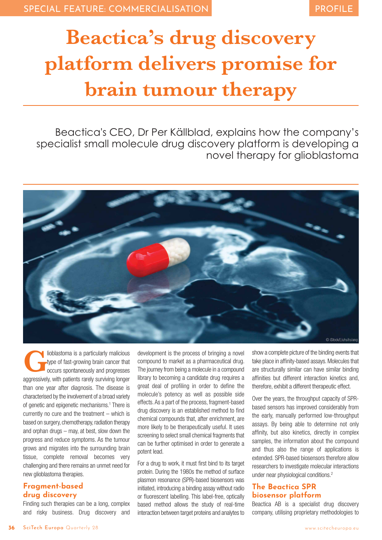# **Beactica's drug discovery platform delivers promise for brain tumour therapy**

Beactica's CEO, Dr Per Källblad, explains how the company's specialist small molecule drug discovery platform is developing a novel therapy for glioblastoma



**G**lioblastoma is a particularly malicious type of fast-growing brain cancer that occurs spontaneously and progresses aggressively, with patients rarely surviving longer than one year after diagnosis. The disease is characterised by the involvement of a broad variety of genetic and epigenetic mechanisms.1 There is currently no cure and the treatment – which is based on surgery, chemotherapy, radiation therapy and orphan drugs – may, at best, slow down the progress and reduce symptoms. As the tumour grows and migrates into the surrounding brain tissue, complete removal becomes very challenging and there remains an unmet need for new glioblastoma therapies.

## **Fragment-based drug discovery**

Finding such therapies can be a long, complex and risky business. Drug discovery and

development is the process of bringing a novel compound to market as a pharmaceutical drug. The journey from being a molecule in a compound library to becoming a candidate drug requires a great deal of profiling in order to define the molecule's potency as well as possible side effects. As a part of the process, fragment-based drug discovery is an established method to find chemical compounds that, after enrichment, are more likely to be therapeutically useful. It uses screening to select small chemical fragments that can be further optimised in order to generate a potent lead.

For a drug to work, it must first bind to its target protein. During the 1980s the method of surface plasmon resonance (SPR)-based biosensors was initiated, introducing a binding assay without radio or fluorescent labelling. This label-free, optically based method allows the study of real-time interaction between target proteins and analytes to

show a complete picture of the binding events that take place in affinity-based assays. Molecules that are structurally similar can have similar binding affinities but different interaction kinetics and, therefore, exhibit a different therapeutic effect.

Over the years, the throughput capacity of SPRbased sensors has improved considerably from the early, manually performed low-throughput assays. By being able to determine not only affinity, but also kinetics, directly in complex samples, the information about the compound and thus also the range of applications is extended. SPR-based biosensors therefore allow researchers to investigate molecular interactions under near physiological conditions.<sup>2</sup>

### **The Beactica SPR biosensor platform**

Beactica AB is a specialist drug discovery company, utilising proprietary methodologies to